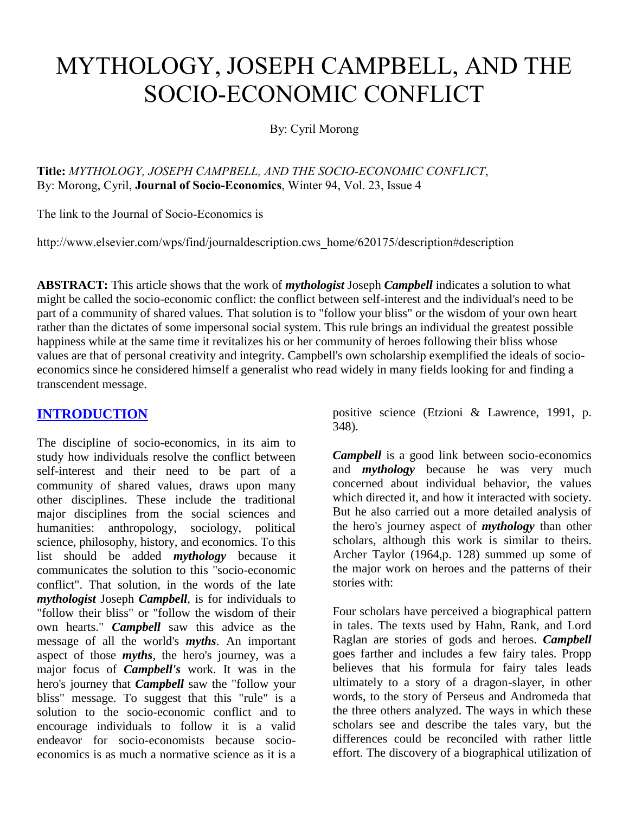# MYTHOLOGY, JOSEPH CAMPBELL, AND THE SOCIO-ECONOMIC CONFLICT

By: Cyril Morong

**Title:** *MYTHOLOGY, JOSEPH CAMPBELL, AND THE SOCIO-ECONOMIC CONFLICT*, By: Morong, Cyril, **Journal of Socio-Economics**, Winter 94, Vol. 23, Issue 4

The link to the Journal of Socio-Economics is

http://www.elsevier.com/wps/find/journaldescription.cws\_home/620175/description#description

**ABSTRACT:** This article shows that the work of *mythologist* Joseph *Campbell* indicates a solution to what might be called the socio-economic conflict: the conflict between self-interest and the individual's need to be part of a community of shared values. That solution is to "follow your bliss" or the wisdom of your own heart rather than the dictates of some impersonal social system. This rule brings an individual the greatest possible happiness while at the same time it revitalizes his or her community of heroes following their bliss whose values are that of personal creativity and integrity. Campbell's own scholarship exemplified the ideals of socioeconomics since he considered himself a generalist who read widely in many fields looking for and finding a transcendent message.

## **[INTRODUCTION](http://web4.epnet.com.proxy.lib.csus.edu/citation.asp?tb=1&_ug=sid+DAEDABE8%2D4936%2D4F69%2DBBD7%2D3B2469BD089B%40sessionmgr4+dbs+afh+cp+1+AB74&_us=hd+False+hs+False+or+Date+fh+False+ss+SO+sm+ES+sl+%2D1+ri+KAAACBYA00088594+dstb+ES+mh+1+frn+61+D9D6&_uso=hd+False+tg%5B2+%2D+tg%5B1+%2D+tg%5B0+%2D+st%5B2+%2D+st%5B1+%2Dcampbell+st%5B0+%2Dmyth%2A+db%5B0+%2Dafh+op%5B2+%2DAnd+op%5B1+%2DAnd+op%5B0+%2D+mdb%5B0+%2Dimh+7776&cf=1&fn=61&rn=61#toc#toc)**

The discipline of socio-economics, in its aim to study how individuals resolve the conflict between self-interest and their need to be part of a community of shared values, draws upon many other disciplines. These include the traditional major disciplines from the social sciences and humanities: anthropology, sociology, political science, philosophy, history, and economics. To this list should be added *mythology* because it communicates the solution to this "socio-economic conflict". That solution, in the words of the late *mythologist* Joseph *Campbell*, is for individuals to "follow their bliss" or "follow the wisdom of their own hearts." *Campbell* saw this advice as the message of all the world's *myths*. An important aspect of those *myths*, the hero's journey, was a major focus of *Campbell's* work. It was in the hero's journey that *Campbell* saw the "follow your bliss" message. To suggest that this "rule" is a solution to the socio-economic conflict and to encourage individuals to follow it is a valid endeavor for socio-economists because socioeconomics is as much a normative science as it is a

positive science (Etzioni & Lawrence, 1991, p. 348).

*Campbell* is a good link between socio-economics and *mythology* because he was very much concerned about individual behavior, the values which directed it, and how it interacted with society. But he also carried out a more detailed analysis of the hero's journey aspect of *mythology* than other scholars, although this work is similar to theirs. Archer Taylor (1964,p. 128) summed up some of the major work on heroes and the patterns of their stories with:

Four scholars have perceived a biographical pattern in tales. The texts used by Hahn, Rank, and Lord Raglan are stories of gods and heroes. *Campbell* goes farther and includes a few fairy tales. Propp believes that his formula for fairy tales leads ultimately to a story of a dragon-slayer, in other words, to the story of Perseus and Andromeda that the three others analyzed. The ways in which these scholars see and describe the tales vary, but the differences could be reconciled with rather little effort. The discovery of a biographical utilization of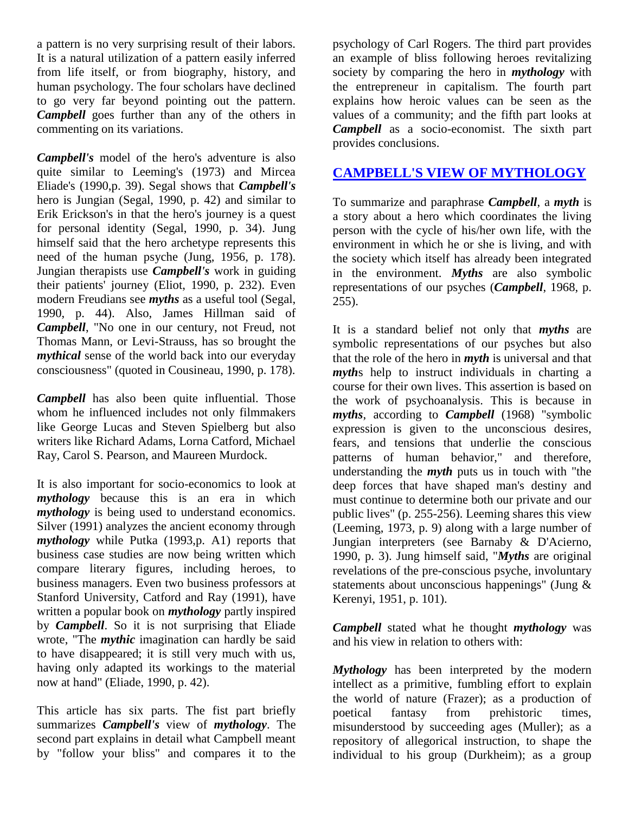a pattern is no very surprising result of their labors. It is a natural utilization of a pattern easily inferred from life itself, or from biography, history, and human psychology. The four scholars have declined to go very far beyond pointing out the pattern. *Campbell* goes further than any of the others in commenting on its variations.

*Campbell's* model of the hero's adventure is also quite similar to Leeming's (1973) and Mircea Eliade's (1990,p. 39). Segal shows that *Campbell's* hero is Jungian (Segal, 1990, p. 42) and similar to Erik Erickson's in that the hero's journey is a quest for personal identity (Segal, 1990, p. 34). Jung himself said that the hero archetype represents this need of the human psyche (Jung, 1956, p. 178). Jungian therapists use *Campbell's* work in guiding their patients' journey (Eliot, 1990, p. 232). Even modern Freudians see *myths* as a useful tool (Segal, 1990, p. 44). Also, James Hillman said of *Campbell*, "No one in our century, not Freud, not Thomas Mann, or Levi-Strauss, has so brought the *mythical* sense of the world back into our everyday consciousness" (quoted in Cousineau, 1990, p. 178).

*Campbell* has also been quite influential. Those whom he influenced includes not only filmmakers like George Lucas and Steven Spielberg but also writers like Richard Adams, Lorna Catford, Michael Ray, Carol S. Pearson, and Maureen Murdock.

It is also important for socio-economics to look at *mythology* because this is an era in which *mythology* is being used to understand economics. Silver (1991) analyzes the ancient economy through *mythology* while Putka (1993,p. A1) reports that business case studies are now being written which compare literary figures, including heroes, to business managers. Even two business professors at Stanford University, Catford and Ray (1991), have written a popular book on *mythology* partly inspired by *Campbell*. So it is not surprising that Eliade wrote, "The *mythic* imagination can hardly be said to have disappeared; it is still very much with us, having only adapted its workings to the material now at hand" (Eliade, 1990, p. 42).

This article has six parts. The fist part briefly summarizes *Campbell's* view of *mythology*. The second part explains in detail what Campbell meant by "follow your bliss" and compares it to the

psychology of Carl Rogers. The third part provides an example of bliss following heroes revitalizing society by comparing the hero in *mythology* with the entrepreneur in capitalism. The fourth part explains how heroic values can be seen as the values of a community; and the fifth part looks at *Campbell* as a socio-economist. The sixth part provides conclusions.

# **[CAMPBELL'S VIEW OF MYTHOLOGY](http://web4.epnet.com.proxy.lib.csus.edu/citation.asp?tb=1&_ug=sid+DAEDABE8%2D4936%2D4F69%2DBBD7%2D3B2469BD089B%40sessionmgr4+dbs+afh+cp+1+AB74&_us=hd+False+hs+False+or+Date+fh+False+ss+SO+sm+ES+sl+%2D1+ri+KAAACBYA00088594+dstb+ES+mh+1+frn+61+D9D6&_uso=hd+False+tg%5B2+%2D+tg%5B1+%2D+tg%5B0+%2D+st%5B2+%2D+st%5B1+%2Dcampbell+st%5B0+%2Dmyth%2A+db%5B0+%2Dafh+op%5B2+%2DAnd+op%5B1+%2DAnd+op%5B0+%2D+mdb%5B0+%2Dimh+7776&cf=1&fn=61&rn=61#toc#toc)**

To summarize and paraphrase *Campbell*, a *myth* is a story about a hero which coordinates the living person with the cycle of his/her own life, with the environment in which he or she is living, and with the society which itself has already been integrated in the environment. *Myths* are also symbolic representations of our psyches (*Campbell*, 1968, p. 255).

It is a standard belief not only that *myths* are symbolic representations of our psyches but also that the role of the hero in *myth* is universal and that *myth*s help to instruct individuals in charting a course for their own lives. This assertion is based on the work of psychoanalysis. This is because in *myths*, according to *Campbell* (1968) "symbolic expression is given to the unconscious desires, fears, and tensions that underlie the conscious patterns of human behavior," and therefore, understanding the *myth* puts us in touch with "the deep forces that have shaped man's destiny and must continue to determine both our private and our public lives" (p. 255-256). Leeming shares this view (Leeming, 1973, p. 9) along with a large number of Jungian interpreters (see Barnaby & D'Acierno, 1990, p. 3). Jung himself said, "*Myths* are original revelations of the pre-conscious psyche, involuntary statements about unconscious happenings" (Jung & Kerenyi, 1951, p. 101).

*Campbell* stated what he thought *mythology* was and his view in relation to others with:

*Mythology* has been interpreted by the modern intellect as a primitive, fumbling effort to explain the world of nature (Frazer); as a production of poetical fantasy from prehistoric times, misunderstood by succeeding ages (Muller); as a repository of allegorical instruction, to shape the individual to his group (Durkheim); as a group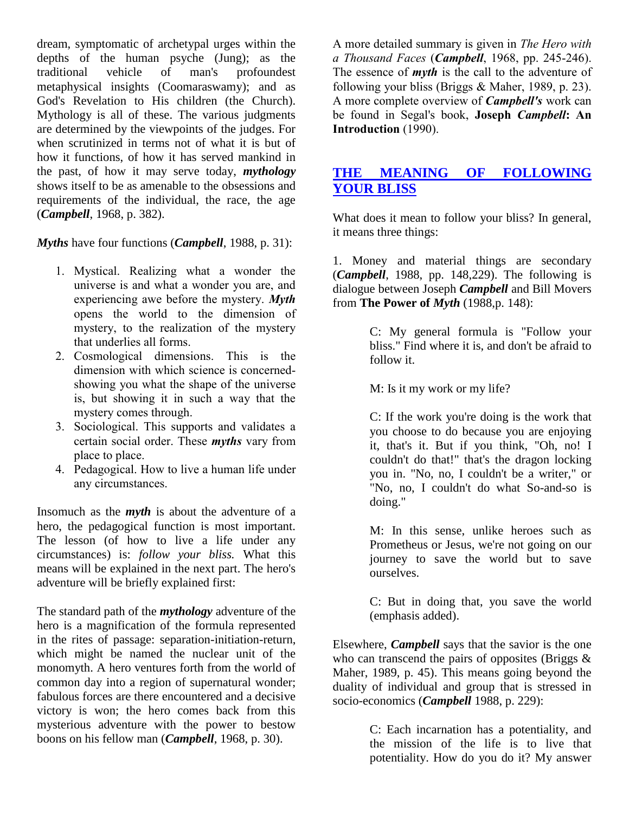dream, symptomatic of archetypal urges within the depths of the human psyche (Jung); as the traditional vehicle of man's profoundest metaphysical insights (Coomaraswamy); and as God's Revelation to His children (the Church). Mythology is all of these. The various judgments are determined by the viewpoints of the judges. For when scrutinized in terms not of what it is but of how it functions, of how it has served mankind in the past, of how it may serve today, *mythology* shows itself to be as amenable to the obsessions and requirements of the individual, the race, the age (*Campbell*, 1968, p. 382).

*Myths* have four functions (*Campbell*, 1988, p. 31):

- 1. Mystical. Realizing what a wonder the universe is and what a wonder you are, and experiencing awe before the mystery. *Myth* opens the world to the dimension of mystery, to the realization of the mystery that underlies all forms.
- 2. Cosmological dimensions. This is the dimension with which science is concernedshowing you what the shape of the universe is, but showing it in such a way that the mystery comes through.
- 3. Sociological. This supports and validates a certain social order. These *myths* vary from place to place.
- 4. Pedagogical. How to live a human life under any circumstances.

Insomuch as the *myth* is about the adventure of a hero, the pedagogical function is most important. The lesson (of how to live a life under any circumstances) is: *follow your bliss.* What this means will be explained in the next part. The hero's adventure will be briefly explained first:

The standard path of the *mythology* adventure of the hero is a magnification of the formula represented in the rites of passage: separation-initiation-return, which might be named the nuclear unit of the monomyth. A hero ventures forth from the world of common day into a region of supernatural wonder; fabulous forces are there encountered and a decisive victory is won; the hero comes back from this mysterious adventure with the power to bestow boons on his fellow man (*Campbell*, 1968, p. 30).

A more detailed summary is given in *The Hero with a Thousand Faces* (*Campbell*, 1968, pp. 245-246). The essence of *myth* is the call to the adventure of following your bliss (Briggs & Maher, 1989, p. 23). A more complete overview of *Campbell's* work can be found in Segal's book, **Joseph** *Campbell***: An Introduction** (1990).

## **[THE MEANING OF FOLLOWING](http://web4.epnet.com.proxy.lib.csus.edu/citation.asp?tb=1&_ug=sid+DAEDABE8%2D4936%2D4F69%2DBBD7%2D3B2469BD089B%40sessionmgr4+dbs+afh+cp+1+AB74&_us=hd+False+hs+False+or+Date+fh+False+ss+SO+sm+ES+sl+%2D1+ri+KAAACBYA00088594+dstb+ES+mh+1+frn+61+D9D6&_uso=hd+False+tg%5B2+%2D+tg%5B1+%2D+tg%5B0+%2D+st%5B2+%2D+st%5B1+%2Dcampbell+st%5B0+%2Dmyth%2A+db%5B0+%2Dafh+op%5B2+%2DAnd+op%5B1+%2DAnd+op%5B0+%2D+mdb%5B0+%2Dimh+7776&cf=1&fn=61&rn=61#toc#toc)  [YOUR BLISS](http://web4.epnet.com.proxy.lib.csus.edu/citation.asp?tb=1&_ug=sid+DAEDABE8%2D4936%2D4F69%2DBBD7%2D3B2469BD089B%40sessionmgr4+dbs+afh+cp+1+AB74&_us=hd+False+hs+False+or+Date+fh+False+ss+SO+sm+ES+sl+%2D1+ri+KAAACBYA00088594+dstb+ES+mh+1+frn+61+D9D6&_uso=hd+False+tg%5B2+%2D+tg%5B1+%2D+tg%5B0+%2D+st%5B2+%2D+st%5B1+%2Dcampbell+st%5B0+%2Dmyth%2A+db%5B0+%2Dafh+op%5B2+%2DAnd+op%5B1+%2DAnd+op%5B0+%2D+mdb%5B0+%2Dimh+7776&cf=1&fn=61&rn=61#toc#toc)**

What does it mean to follow your bliss? In general, it means three things:

1. Money and material things are secondary (*Campbell*, 1988, pp. 148,229). The following is dialogue between Joseph *Campbell* and Bill Movers from **The Power of** *Myth* (1988,p. 148):

> C: My general formula is "Follow your bliss." Find where it is, and don't be afraid to follow it.

M: Is it my work or my life?

C: If the work you're doing is the work that you choose to do because you are enjoying it, that's it. But if you think, "Oh, no! I couldn't do that!" that's the dragon locking you in. "No, no, I couldn't be a writer," or "No, no, I couldn't do what So-and-so is doing."

M: In this sense, unlike heroes such as Prometheus or Jesus, we're not going on our journey to save the world but to save ourselves.

C: But in doing that, you save the world (emphasis added).

Elsewhere, *Campbell* says that the savior is the one who can transcend the pairs of opposites (Briggs & Maher, 1989, p. 45). This means going beyond the duality of individual and group that is stressed in socio-economics (*Campbell* 1988, p. 229):

> C: Each incarnation has a potentiality, and the mission of the life is to live that potentiality. How do you do it? My answer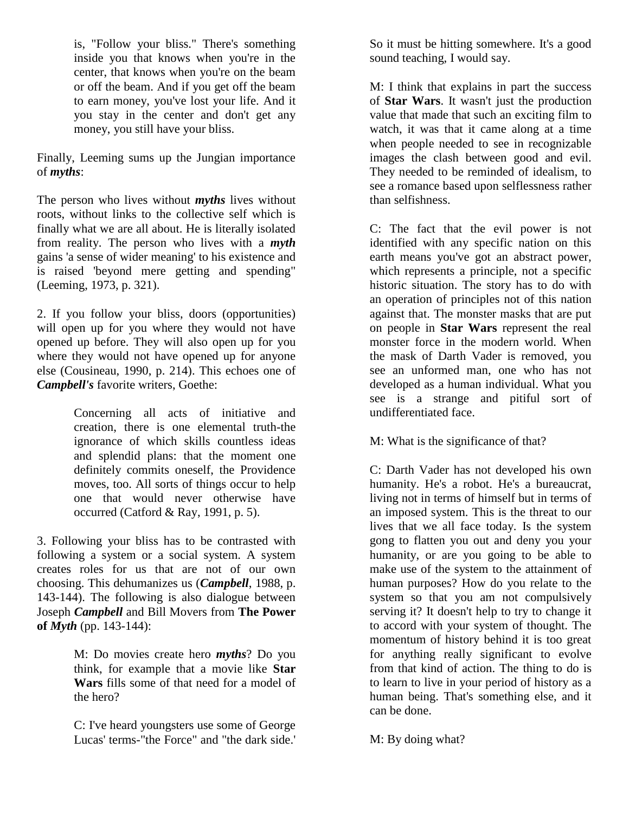is, "Follow your bliss." There's something inside you that knows when you're in the center, that knows when you're on the beam or off the beam. And if you get off the beam to earn money, you've lost your life. And it you stay in the center and don't get any money, you still have your bliss.

Finally, Leeming sums up the Jungian importance of *myths*:

The person who lives without *myths* lives without roots, without links to the collective self which is finally what we are all about. He is literally isolated from reality. The person who lives with a *myth* gains 'a sense of wider meaning' to his existence and is raised 'beyond mere getting and spending" (Leeming, 1973, p. 321).

2. If you follow your bliss, doors (opportunities) will open up for you where they would not have opened up before. They will also open up for you where they would not have opened up for anyone else (Cousineau, 1990, p. 214). This echoes one of *Campbell's* favorite writers, Goethe:

> Concerning all acts of initiative and creation, there is one elemental truth-the ignorance of which skills countless ideas and splendid plans: that the moment one definitely commits oneself, the Providence moves, too. All sorts of things occur to help one that would never otherwise have occurred (Catford & Ray, 1991, p. 5).

3. Following your bliss has to be contrasted with following a system or a social system. A system creates roles for us that are not of our own choosing. This dehumanizes us (*Campbell*, 1988, p. 143-144). The following is also dialogue between Joseph *Campbell* and Bill Movers from **The Power of** *Myth* (pp. 143-144):

> M: Do movies create hero *myths*? Do you think, for example that a movie like **Star Wars** fills some of that need for a model of the hero?

> C: I've heard youngsters use some of George Lucas' terms-"the Force" and "the dark side.'

So it must be hitting somewhere. It's a good sound teaching, I would say.

M: I think that explains in part the success of **Star Wars**. It wasn't just the production value that made that such an exciting film to watch, it was that it came along at a time when people needed to see in recognizable images the clash between good and evil. They needed to be reminded of idealism, to see a romance based upon selflessness rather than selfishness.

C: The fact that the evil power is not identified with any specific nation on this earth means you've got an abstract power, which represents a principle, not a specific historic situation. The story has to do with an operation of principles not of this nation against that. The monster masks that are put on people in **Star Wars** represent the real monster force in the modern world. When the mask of Darth Vader is removed, you see an unformed man, one who has not developed as a human individual. What you see is a strange and pitiful sort of undifferentiated face.

M: What is the significance of that?

C: Darth Vader has not developed his own humanity. He's a robot. He's a bureaucrat, living not in terms of himself but in terms of an imposed system. This is the threat to our lives that we all face today. Is the system gong to flatten you out and deny you your humanity, or are you going to be able to make use of the system to the attainment of human purposes? How do you relate to the system so that you am not compulsively serving it? It doesn't help to try to change it to accord with your system of thought. The momentum of history behind it is too great for anything really significant to evolve from that kind of action. The thing to do is to learn to live in your period of history as a human being. That's something else, and it can be done.

M: By doing what?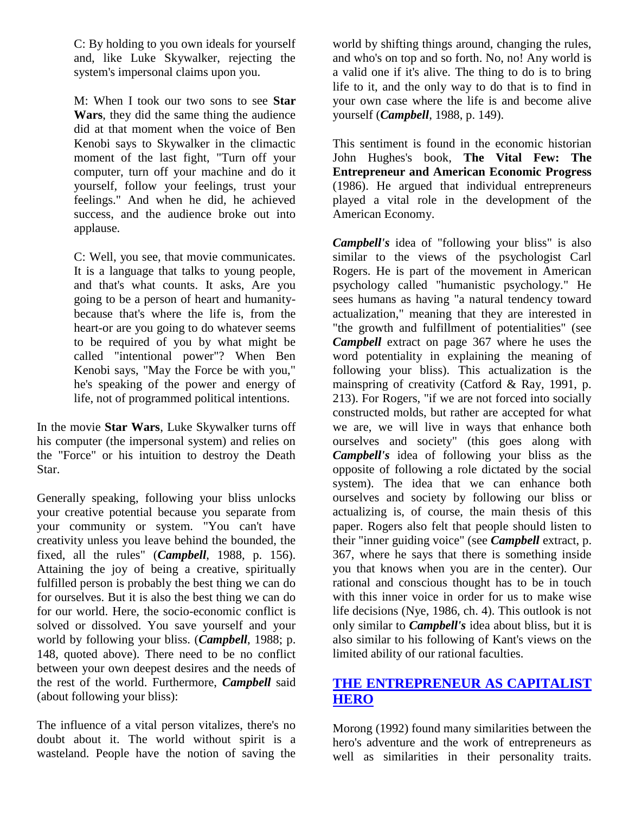C: By holding to you own ideals for yourself and, like Luke Skywalker, rejecting the system's impersonal claims upon you.

M: When I took our two sons to see **Star Wars**, they did the same thing the audience did at that moment when the voice of Ben Kenobi says to Skywalker in the climactic moment of the last fight, "Turn off your computer, turn off your machine and do it yourself, follow your feelings, trust your feelings." And when he did, he achieved success, and the audience broke out into applause.

C: Well, you see, that movie communicates. It is a language that talks to young people, and that's what counts. It asks, Are you going to be a person of heart and humanitybecause that's where the life is, from the heart-or are you going to do whatever seems to be required of you by what might be called "intentional power"? When Ben Kenobi says, "May the Force be with you," he's speaking of the power and energy of life, not of programmed political intentions.

In the movie **Star Wars**, Luke Skywalker turns off his computer (the impersonal system) and relies on the "Force" or his intuition to destroy the Death Star.

Generally speaking, following your bliss unlocks your creative potential because you separate from your community or system. "You can't have creativity unless you leave behind the bounded, the fixed, all the rules" (*Campbell*, 1988, p. 156). Attaining the joy of being a creative, spiritually fulfilled person is probably the best thing we can do for ourselves. But it is also the best thing we can do for our world. Here, the socio-economic conflict is solved or dissolved. You save yourself and your world by following your bliss. (*Campbell*, 1988; p. 148, quoted above). There need to be no conflict between your own deepest desires and the needs of the rest of the world. Furthermore, *Campbell* said (about following your bliss):

The influence of a vital person vitalizes, there's no doubt about it. The world without spirit is a wasteland. People have the notion of saving the

world by shifting things around, changing the rules, and who's on top and so forth. No, no! Any world is a valid one if it's alive. The thing to do is to bring life to it, and the only way to do that is to find in your own case where the life is and become alive yourself (*Campbell*, 1988, p. 149).

This sentiment is found in the economic historian John Hughes's book, **The Vital Few: The Entrepreneur and American Economic Progress** (1986). He argued that individual entrepreneurs played a vital role in the development of the American Economy.

*Campbell's* idea of "following your bliss" is also similar to the views of the psychologist Carl Rogers. He is part of the movement in American psychology called "humanistic psychology." He sees humans as having "a natural tendency toward actualization," meaning that they are interested in "the growth and fulfillment of potentialities" (see *Campbell* extract on page 367 where he uses the word potentiality in explaining the meaning of following your bliss). This actualization is the mainspring of creativity (Catford & Ray, 1991, p. 213). For Rogers, "if we are not forced into socially constructed molds, but rather are accepted for what we are, we will live in ways that enhance both ourselves and society" (this goes along with *Campbell's* idea of following your bliss as the opposite of following a role dictated by the social system). The idea that we can enhance both ourselves and society by following our bliss or actualizing is, of course, the main thesis of this paper. Rogers also felt that people should listen to their "inner guiding voice" (see *Campbell* extract, p. 367, where he says that there is something inside you that knows when you are in the center). Our rational and conscious thought has to be in touch with this inner voice in order for us to make wise life decisions (Nye, 1986, ch. 4). This outlook is not only similar to *Campbell's* idea about bliss, but it is also similar to his following of Kant's views on the limited ability of our rational faculties.

## **[THE ENTREPRENEUR AS CAPITALIST](http://web4.epnet.com.proxy.lib.csus.edu/citation.asp?tb=1&_ug=sid+DAEDABE8%2D4936%2D4F69%2DBBD7%2D3B2469BD089B%40sessionmgr4+dbs+afh+cp+1+AB74&_us=hd+False+hs+False+or+Date+fh+False+ss+SO+sm+ES+sl+%2D1+ri+KAAACBYA00088594+dstb+ES+mh+1+frn+61+D9D6&_uso=hd+False+tg%5B2+%2D+tg%5B1+%2D+tg%5B0+%2D+st%5B2+%2D+st%5B1+%2Dcampbell+st%5B0+%2Dmyth%2A+db%5B0+%2Dafh+op%5B2+%2DAnd+op%5B1+%2DAnd+op%5B0+%2D+mdb%5B0+%2Dimh+7776&cf=1&fn=61&rn=61#toc#toc)  [HERO](http://web4.epnet.com.proxy.lib.csus.edu/citation.asp?tb=1&_ug=sid+DAEDABE8%2D4936%2D4F69%2DBBD7%2D3B2469BD089B%40sessionmgr4+dbs+afh+cp+1+AB74&_us=hd+False+hs+False+or+Date+fh+False+ss+SO+sm+ES+sl+%2D1+ri+KAAACBYA00088594+dstb+ES+mh+1+frn+61+D9D6&_uso=hd+False+tg%5B2+%2D+tg%5B1+%2D+tg%5B0+%2D+st%5B2+%2D+st%5B1+%2Dcampbell+st%5B0+%2Dmyth%2A+db%5B0+%2Dafh+op%5B2+%2DAnd+op%5B1+%2DAnd+op%5B0+%2D+mdb%5B0+%2Dimh+7776&cf=1&fn=61&rn=61#toc#toc)**

Morong (1992) found many similarities between the hero's adventure and the work of entrepreneurs as well as similarities in their personality traits.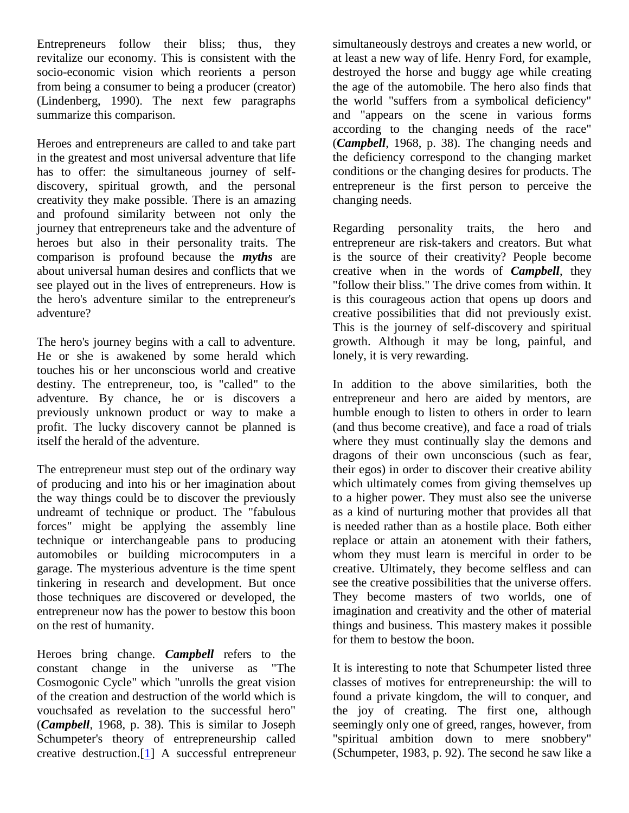Entrepreneurs follow their bliss; thus, they revitalize our economy. This is consistent with the socio-economic vision which reorients a person from being a consumer to being a producer (creator) (Lindenberg, 1990). The next few paragraphs summarize this comparison.

Heroes and entrepreneurs are called to and take part in the greatest and most universal adventure that life has to offer: the simultaneous journey of selfdiscovery, spiritual growth, and the personal creativity they make possible. There is an amazing and profound similarity between not only the journey that entrepreneurs take and the adventure of heroes but also in their personality traits. The comparison is profound because the *myths* are about universal human desires and conflicts that we see played out in the lives of entrepreneurs. How is the hero's adventure similar to the entrepreneur's adventure?

The hero's journey begins with a call to adventure. He or she is awakened by some herald which touches his or her unconscious world and creative destiny. The entrepreneur, too, is "called" to the adventure. By chance, he or is discovers a previously unknown product or way to make a profit. The lucky discovery cannot be planned is itself the herald of the adventure.

The entrepreneur must step out of the ordinary way of producing and into his or her imagination about the way things could be to discover the previously undreamt of technique or product. The "fabulous forces" might be applying the assembly line technique or interchangeable pans to producing automobiles or building microcomputers in a garage. The mysterious adventure is the time spent tinkering in research and development. But once those techniques are discovered or developed, the entrepreneur now has the power to bestow this boon on the rest of humanity.

Heroes bring change. *Campbell* refers to the constant change in the universe as "The Cosmogonic Cycle" which "unrolls the great vision of the creation and destruction of the world which is vouchsafed as revelation to the successful hero" (*Campbell*, 1968, p. 38). This is similar to Joseph Schumpeter's theory of entrepreneurship called creative destruction.[\[1\]](http://web4.epnet.com.proxy.lib.csus.edu/citation.asp?tb=1&_ug=sid+DAEDABE8%2D4936%2D4F69%2DBBD7%2D3B2469BD089B%40sessionmgr4+dbs+afh+cp+1+AB74&_us=hd+False+hs+False+or+Date+fh+False+ss+SO+sm+ES+sl+%2D1+ri+KAAACBYA00088594+dstb+ES+mh+1+frn+61+D9D6&_uso=hd+False+tg%5B2+%2D+tg%5B1+%2D+tg%5B0+%2D+st%5B2+%2D+st%5B1+%2Dcampbell+st%5B0+%2Dmyth%2A+db%5B0+%2Dafh+op%5B2+%2DAnd+op%5B1+%2DAnd+op%5B0+%2D+mdb%5B0+%2Dimh+7776&cf=1&fn=61&rn=61#bib1#bib1) A successful entrepreneur

simultaneously destroys and creates a new world, or at least a new way of life. Henry Ford, for example, destroyed the horse and buggy age while creating the age of the automobile. The hero also finds that the world "suffers from a symbolical deficiency" and "appears on the scene in various forms according to the changing needs of the race" (*Campbell*, 1968, p. 38). The changing needs and the deficiency correspond to the changing market conditions or the changing desires for products. The entrepreneur is the first person to perceive the changing needs.

Regarding personality traits, the hero and entrepreneur are risk-takers and creators. But what is the source of their creativity? People become creative when in the words of *Campbell*, they "follow their bliss." The drive comes from within. It is this courageous action that opens up doors and creative possibilities that did not previously exist. This is the journey of self-discovery and spiritual growth. Although it may be long, painful, and lonely, it is very rewarding.

In addition to the above similarities, both the entrepreneur and hero are aided by mentors, are humble enough to listen to others in order to learn (and thus become creative), and face a road of trials where they must continually slay the demons and dragons of their own unconscious (such as fear, their egos) in order to discover their creative ability which ultimately comes from giving themselves up to a higher power. They must also see the universe as a kind of nurturing mother that provides all that is needed rather than as a hostile place. Both either replace or attain an atonement with their fathers, whom they must learn is merciful in order to be creative. Ultimately, they become selfless and can see the creative possibilities that the universe offers. They become masters of two worlds, one of imagination and creativity and the other of material things and business. This mastery makes it possible for them to bestow the boon.

It is interesting to note that Schumpeter listed three classes of motives for entrepreneurship: the will to found a private kingdom, the will to conquer, and the joy of creating. The first one, although seemingly only one of greed, ranges, however, from "spiritual ambition down to mere snobbery" (Schumpeter, 1983, p. 92). The second he saw like a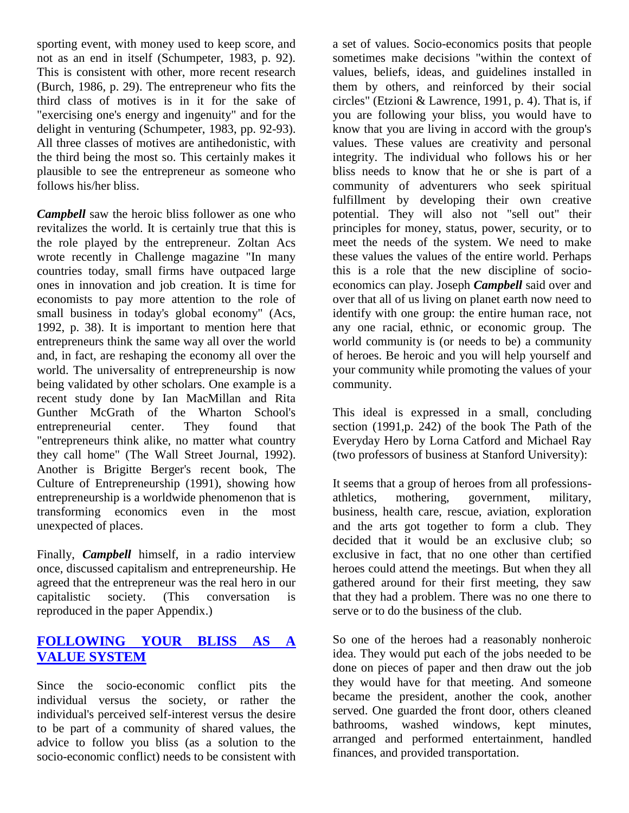sporting event, with money used to keep score, and not as an end in itself (Schumpeter, 1983, p. 92). This is consistent with other, more recent research (Burch, 1986, p. 29). The entrepreneur who fits the third class of motives is in it for the sake of "exercising one's energy and ingenuity" and for the delight in venturing (Schumpeter, 1983, pp. 92-93). All three classes of motives are antihedonistic, with the third being the most so. This certainly makes it plausible to see the entrepreneur as someone who follows his/her bliss.

*Campbell* saw the heroic bliss follower as one who revitalizes the world. It is certainly true that this is the role played by the entrepreneur. Zoltan Acs wrote recently in Challenge magazine "In many countries today, small firms have outpaced large ones in innovation and job creation. It is time for economists to pay more attention to the role of small business in today's global economy" (Acs, 1992, p. 38). It is important to mention here that entrepreneurs think the same way all over the world and, in fact, are reshaping the economy all over the world. The universality of entrepreneurship is now being validated by other scholars. One example is a recent study done by Ian MacMillan and Rita Gunther McGrath of the Wharton School's entrepreneurial center. They found that "entrepreneurs think alike, no matter what country they call home" (The Wall Street Journal, 1992). Another is Brigitte Berger's recent book, The Culture of Entrepreneurship (1991), showing how entrepreneurship is a worldwide phenomenon that is transforming economics even in the most unexpected of places.

Finally, *Campbell* himself, in a radio interview once, discussed capitalism and entrepreneurship. He agreed that the entrepreneur was the real hero in our capitalistic society. (This conversation is reproduced in the paper Appendix.)

## **[FOLLOWING YOUR BLISS AS A](http://web4.epnet.com.proxy.lib.csus.edu/citation.asp?tb=1&_ug=sid+DAEDABE8%2D4936%2D4F69%2DBBD7%2D3B2469BD089B%40sessionmgr4+dbs+afh+cp+1+AB74&_us=hd+False+hs+False+or+Date+fh+False+ss+SO+sm+ES+sl+%2D1+ri+KAAACBYA00088594+dstb+ES+mh+1+frn+61+D9D6&_uso=hd+False+tg%5B2+%2D+tg%5B1+%2D+tg%5B0+%2D+st%5B2+%2D+st%5B1+%2Dcampbell+st%5B0+%2Dmyth%2A+db%5B0+%2Dafh+op%5B2+%2DAnd+op%5B1+%2DAnd+op%5B0+%2D+mdb%5B0+%2Dimh+7776&cf=1&fn=61&rn=61#toc#toc)  [VALUE SYSTEM](http://web4.epnet.com.proxy.lib.csus.edu/citation.asp?tb=1&_ug=sid+DAEDABE8%2D4936%2D4F69%2DBBD7%2D3B2469BD089B%40sessionmgr4+dbs+afh+cp+1+AB74&_us=hd+False+hs+False+or+Date+fh+False+ss+SO+sm+ES+sl+%2D1+ri+KAAACBYA00088594+dstb+ES+mh+1+frn+61+D9D6&_uso=hd+False+tg%5B2+%2D+tg%5B1+%2D+tg%5B0+%2D+st%5B2+%2D+st%5B1+%2Dcampbell+st%5B0+%2Dmyth%2A+db%5B0+%2Dafh+op%5B2+%2DAnd+op%5B1+%2DAnd+op%5B0+%2D+mdb%5B0+%2Dimh+7776&cf=1&fn=61&rn=61#toc#toc)**

Since the socio-economic conflict pits the individual versus the society, or rather the individual's perceived self-interest versus the desire to be part of a community of shared values, the advice to follow you bliss (as a solution to the socio-economic conflict) needs to be consistent with

a set of values. Socio-economics posits that people sometimes make decisions "within the context of values, beliefs, ideas, and guidelines installed in them by others, and reinforced by their social circles" (Etzioni & Lawrence, 1991, p. 4). That is, if you are following your bliss, you would have to know that you are living in accord with the group's values. These values are creativity and personal integrity. The individual who follows his or her bliss needs to know that he or she is part of a community of adventurers who seek spiritual fulfillment by developing their own creative potential. They will also not "sell out" their principles for money, status, power, security, or to meet the needs of the system. We need to make these values the values of the entire world. Perhaps this is a role that the new discipline of socioeconomics can play. Joseph *Campbell* said over and over that all of us living on planet earth now need to identify with one group: the entire human race, not any one racial, ethnic, or economic group. The world community is (or needs to be) a community of heroes. Be heroic and you will help yourself and your community while promoting the values of your community.

This ideal is expressed in a small, concluding section (1991,p. 242) of the book The Path of the Everyday Hero by Lorna Catford and Michael Ray (two professors of business at Stanford University):

It seems that a group of heroes from all professionsathletics, mothering, government, military, business, health care, rescue, aviation, exploration and the arts got together to form a club. They decided that it would be an exclusive club; so exclusive in fact, that no one other than certified heroes could attend the meetings. But when they all gathered around for their first meeting, they saw that they had a problem. There was no one there to serve or to do the business of the club.

So one of the heroes had a reasonably nonheroic idea. They would put each of the jobs needed to be done on pieces of paper and then draw out the job they would have for that meeting. And someone became the president, another the cook, another served. One guarded the front door, others cleaned bathrooms, washed windows, kept minutes, arranged and performed entertainment, handled finances, and provided transportation.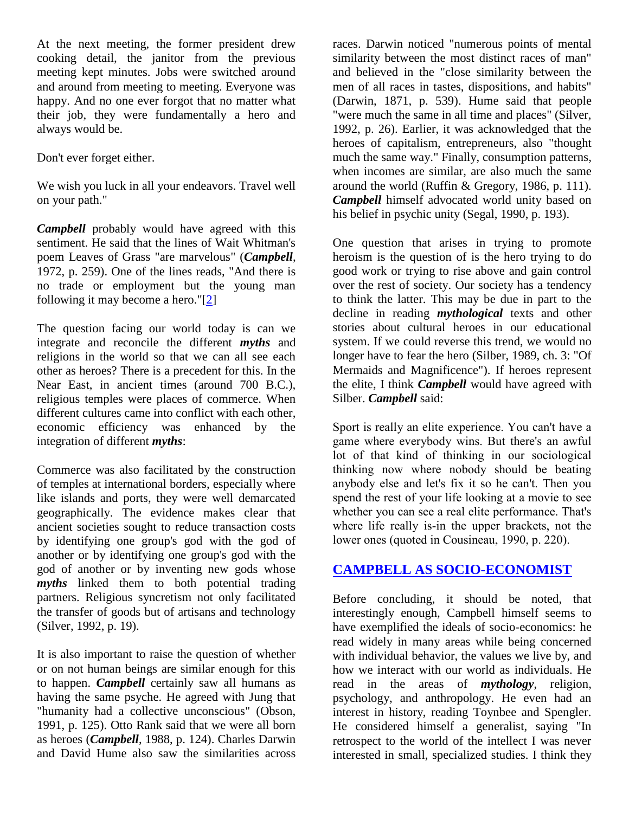At the next meeting, the former president drew cooking detail, the janitor from the previous meeting kept minutes. Jobs were switched around and around from meeting to meeting. Everyone was happy. And no one ever forgot that no matter what their job, they were fundamentally a hero and always would be.

Don't ever forget either.

We wish you luck in all your endeavors. Travel well on your path."

*Campbell* probably would have agreed with this sentiment. He said that the lines of Wait Whitman's poem Leaves of Grass "are marvelous" (*Campbell*, 1972, p. 259). One of the lines reads, "And there is no trade or employment but the young man following it may become a hero."[\[2\]](http://web4.epnet.com.proxy.lib.csus.edu/citation.asp?tb=1&_ug=sid+DAEDABE8%2D4936%2D4F69%2DBBD7%2D3B2469BD089B%40sessionmgr4+dbs+afh+cp+1+AB74&_us=hd+False+hs+False+or+Date+fh+False+ss+SO+sm+ES+sl+%2D1+ri+KAAACBYA00088594+dstb+ES+mh+1+frn+61+D9D6&_uso=hd+False+tg%5B2+%2D+tg%5B1+%2D+tg%5B0+%2D+st%5B2+%2D+st%5B1+%2Dcampbell+st%5B0+%2Dmyth%2A+db%5B0+%2Dafh+op%5B2+%2DAnd+op%5B1+%2DAnd+op%5B0+%2D+mdb%5B0+%2Dimh+7776&cf=1&fn=61&rn=61#bib2#bib2)

The question facing our world today is can we integrate and reconcile the different *myths* and religions in the world so that we can all see each other as heroes? There is a precedent for this. In the Near East, in ancient times (around 700 B.C.), religious temples were places of commerce. When different cultures came into conflict with each other, economic efficiency was enhanced by the integration of different *myths*:

Commerce was also facilitated by the construction of temples at international borders, especially where like islands and ports, they were well demarcated geographically. The evidence makes clear that ancient societies sought to reduce transaction costs by identifying one group's god with the god of another or by identifying one group's god with the god of another or by inventing new gods whose *myths* linked them to both potential trading partners. Religious syncretism not only facilitated the transfer of goods but of artisans and technology (Silver, 1992, p. 19).

It is also important to raise the question of whether or on not human beings are similar enough for this to happen. *Campbell* certainly saw all humans as having the same psyche. He agreed with Jung that "humanity had a collective unconscious" (Obson, 1991, p. 125). Otto Rank said that we were all born as heroes (*Campbell*, 1988, p. 124). Charles Darwin and David Hume also saw the similarities across

races. Darwin noticed "numerous points of mental similarity between the most distinct races of man" and believed in the "close similarity between the men of all races in tastes, dispositions, and habits" (Darwin, 1871, p. 539). Hume said that people "were much the same in all time and places" (Silver, 1992, p. 26). Earlier, it was acknowledged that the heroes of capitalism, entrepreneurs, also "thought much the same way." Finally, consumption patterns, when incomes are similar, are also much the same around the world (Ruffin & Gregory, 1986, p. 111). *Campbell* himself advocated world unity based on his belief in psychic unity (Segal, 1990, p. 193).

One question that arises in trying to promote heroism is the question of is the hero trying to do good work or trying to rise above and gain control over the rest of society. Our society has a tendency to think the latter. This may be due in part to the decline in reading *mythological* texts and other stories about cultural heroes in our educational system. If we could reverse this trend, we would no longer have to fear the hero (Silber, 1989, ch. 3: "Of Mermaids and Magnificence"). If heroes represent the elite, I think *Campbell* would have agreed with Silber. *Campbell* said:

Sport is really an elite experience. You can't have a game where everybody wins. But there's an awful lot of that kind of thinking in our sociological thinking now where nobody should be beating anybody else and let's fix it so he can't. Then you spend the rest of your life looking at a movie to see whether you can see a real elite performance. That's where life really is-in the upper brackets, not the lower ones (quoted in Cousineau, 1990, p. 220).

# **[CAMPBELL AS SOCIO-ECONOMIST](http://web4.epnet.com.proxy.lib.csus.edu/citation.asp?tb=1&_ug=sid+DAEDABE8%2D4936%2D4F69%2DBBD7%2D3B2469BD089B%40sessionmgr4+dbs+afh+cp+1+AB74&_us=hd+False+hs+False+or+Date+fh+False+ss+SO+sm+ES+sl+%2D1+ri+KAAACBYA00088594+dstb+ES+mh+1+frn+61+D9D6&_uso=hd+False+tg%5B2+%2D+tg%5B1+%2D+tg%5B0+%2D+st%5B2+%2D+st%5B1+%2Dcampbell+st%5B0+%2Dmyth%2A+db%5B0+%2Dafh+op%5B2+%2DAnd+op%5B1+%2DAnd+op%5B0+%2D+mdb%5B0+%2Dimh+7776&cf=1&fn=61&rn=61#toc#toc)**

Before concluding, it should be noted, that interestingly enough, Campbell himself seems to have exemplified the ideals of socio-economics: he read widely in many areas while being concerned with individual behavior, the values we live by, and how we interact with our world as individuals. He read in the areas of *mythology*, religion, psychology, and anthropology. He even had an interest in history, reading Toynbee and Spengler. He considered himself a generalist, saying "In retrospect to the world of the intellect I was never interested in small, specialized studies. I think they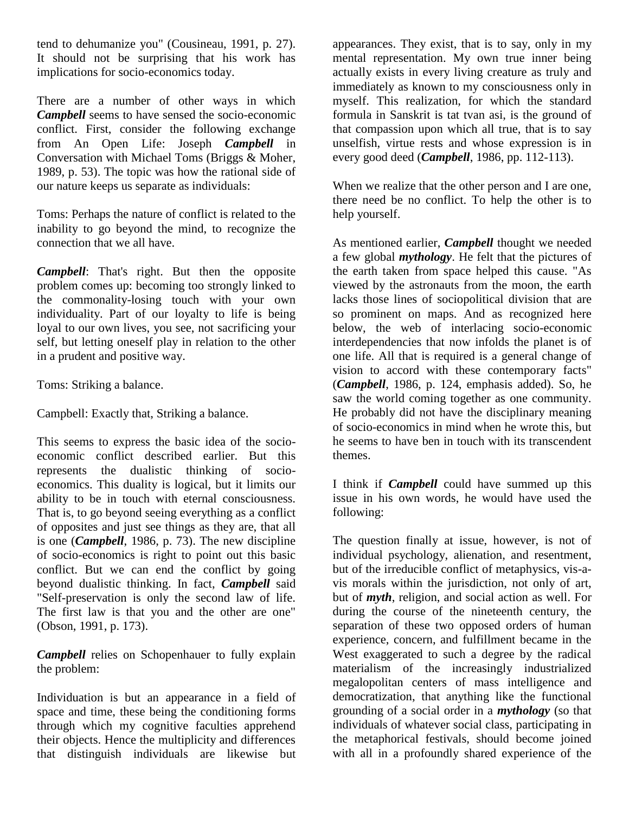tend to dehumanize you" (Cousineau, 1991, p. 27). It should not be surprising that his work has implications for socio-economics today.

There are a number of other ways in which *Campbell* seems to have sensed the socio-economic conflict. First, consider the following exchange from An Open Life: Joseph *Campbell* in Conversation with Michael Toms (Briggs & Moher, 1989, p. 53). The topic was how the rational side of our nature keeps us separate as individuals:

Toms: Perhaps the nature of conflict is related to the inability to go beyond the mind, to recognize the connection that we all have.

*Campbell*: That's right. But then the opposite problem comes up: becoming too strongly linked to the commonality-losing touch with your own individuality. Part of our loyalty to life is being loyal to our own lives, you see, not sacrificing your self, but letting oneself play in relation to the other in a prudent and positive way.

Toms: Striking a balance.

Campbell: Exactly that, Striking a balance.

This seems to express the basic idea of the socioeconomic conflict described earlier. But this represents the dualistic thinking of socioeconomics. This duality is logical, but it limits our ability to be in touch with eternal consciousness. That is, to go beyond seeing everything as a conflict of opposites and just see things as they are, that all is one (*Campbell*, 1986, p. 73). The new discipline of socio-economics is right to point out this basic conflict. But we can end the conflict by going beyond dualistic thinking. In fact, *Campbell* said "Self-preservation is only the second law of life. The first law is that you and the other are one" (Obson, 1991, p. 173).

*Campbell* relies on Schopenhauer to fully explain the problem:

Individuation is but an appearance in a field of space and time, these being the conditioning forms through which my cognitive faculties apprehend their objects. Hence the multiplicity and differences that distinguish individuals are likewise but appearances. They exist, that is to say, only in my mental representation. My own true inner being actually exists in every living creature as truly and immediately as known to my consciousness only in myself. This realization, for which the standard formula in Sanskrit is tat tvan asi, is the ground of that compassion upon which all true, that is to say unselfish, virtue rests and whose expression is in every good deed (*Campbell*, 1986, pp. 112-113).

When we realize that the other person and I are one, there need be no conflict. To help the other is to help yourself.

As mentioned earlier, *Campbell* thought we needed a few global *mythology*. He felt that the pictures of the earth taken from space helped this cause. "As viewed by the astronauts from the moon, the earth lacks those lines of sociopolitical division that are so prominent on maps. And as recognized here below, the web of interlacing socio-economic interdependencies that now infolds the planet is of one life. All that is required is a general change of vision to accord with these contemporary facts" (*Campbell*, 1986, p. 124, emphasis added). So, he saw the world coming together as one community. He probably did not have the disciplinary meaning of socio-economics in mind when he wrote this, but he seems to have ben in touch with its transcendent themes.

I think if *Campbell* could have summed up this issue in his own words, he would have used the following:

The question finally at issue, however, is not of individual psychology, alienation, and resentment, but of the irreducible conflict of metaphysics, vis-avis morals within the jurisdiction, not only of art, but of *myth*, religion, and social action as well. For during the course of the nineteenth century, the separation of these two opposed orders of human experience, concern, and fulfillment became in the West exaggerated to such a degree by the radical materialism of the increasingly industrialized megalopolitan centers of mass intelligence and democratization, that anything like the functional grounding of a social order in a *mythology* (so that individuals of whatever social class, participating in the metaphorical festivals, should become joined with all in a profoundly shared experience of the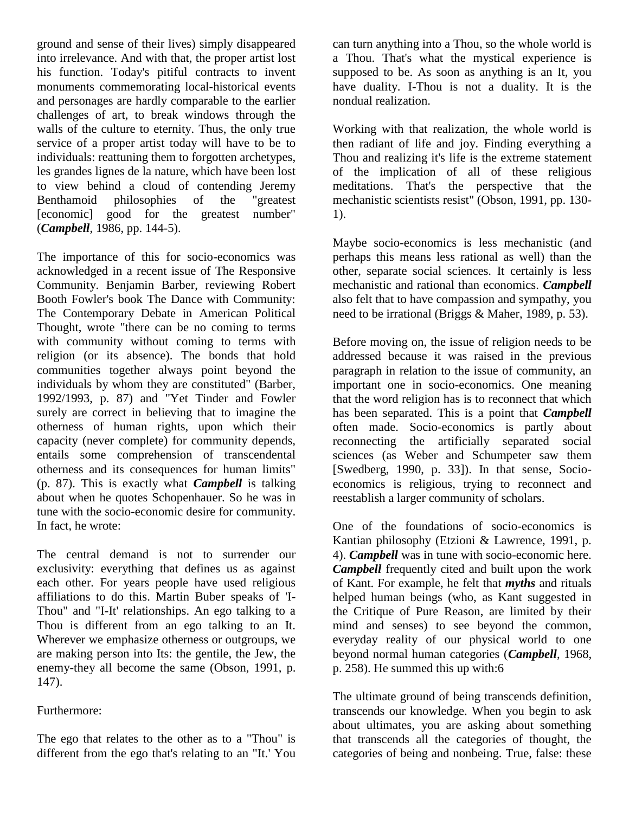ground and sense of their lives) simply disappeared into irrelevance. And with that, the proper artist lost his function. Today's pitiful contracts to invent monuments commemorating local-historical events and personages are hardly comparable to the earlier challenges of art, to break windows through the walls of the culture to eternity. Thus, the only true service of a proper artist today will have to be to individuals: reattuning them to forgotten archetypes, les grandes lignes de la nature, which have been lost to view behind a cloud of contending Jeremy Benthamoid philosophies of the "greatest [economic] good for the greatest number" (*Campbell*, 1986, pp. 144-5).

The importance of this for socio-economics was acknowledged in a recent issue of The Responsive Community. Benjamin Barber, reviewing Robert Booth Fowler's book The Dance with Community: The Contemporary Debate in American Political Thought, wrote "there can be no coming to terms with community without coming to terms with religion (or its absence). The bonds that hold communities together always point beyond the individuals by whom they are constituted" (Barber, 1992/1993, p. 87) and "Yet Tinder and Fowler surely are correct in believing that to imagine the otherness of human rights, upon which their capacity (never complete) for community depends, entails some comprehension of transcendental otherness and its consequences for human limits" (p. 87). This is exactly what *Campbell* is talking about when he quotes Schopenhauer. So he was in tune with the socio-economic desire for community. In fact, he wrote:

The central demand is not to surrender our exclusivity: everything that defines us as against each other. For years people have used religious affiliations to do this. Martin Buber speaks of 'I-Thou" and "I-It' relationships. An ego talking to a Thou is different from an ego talking to an It. Wherever we emphasize otherness or outgroups, we are making person into Its: the gentile, the Jew, the enemy-they all become the same (Obson, 1991, p. 147).

#### Furthermore:

The ego that relates to the other as to a "Thou" is different from the ego that's relating to an "It.' You

can turn anything into a Thou, so the whole world is a Thou. That's what the mystical experience is supposed to be. As soon as anything is an It, you have duality. I-Thou is not a duality. It is the nondual realization.

Working with that realization, the whole world is then radiant of life and joy. Finding everything a Thou and realizing it's life is the extreme statement of the implication of all of these religious meditations. That's the perspective that the mechanistic scientists resist" (Obson, 1991, pp. 130- 1).

Maybe socio-economics is less mechanistic (and perhaps this means less rational as well) than the other, separate social sciences. It certainly is less mechanistic and rational than economics. *Campbell* also felt that to have compassion and sympathy, you need to be irrational (Briggs & Maher, 1989, p. 53).

Before moving on, the issue of religion needs to be addressed because it was raised in the previous paragraph in relation to the issue of community, an important one in socio-economics. One meaning that the word religion has is to reconnect that which has been separated. This is a point that *Campbell* often made. Socio-economics is partly about reconnecting the artificially separated social sciences (as Weber and Schumpeter saw them [Swedberg, 1990, p. 33]). In that sense, Socioeconomics is religious, trying to reconnect and reestablish a larger community of scholars.

One of the foundations of socio-economics is Kantian philosophy (Etzioni & Lawrence, 1991, p. 4). *Campbell* was in tune with socio-economic here. *Campbell* frequently cited and built upon the work of Kant. For example, he felt that *myths* and rituals helped human beings (who, as Kant suggested in the Critique of Pure Reason, are limited by their mind and senses) to see beyond the common, everyday reality of our physical world to one beyond normal human categories (*Campbell*, 1968, p. 258). He summed this up with:6

The ultimate ground of being transcends definition, transcends our knowledge. When you begin to ask about ultimates, you are asking about something that transcends all the categories of thought, the categories of being and nonbeing. True, false: these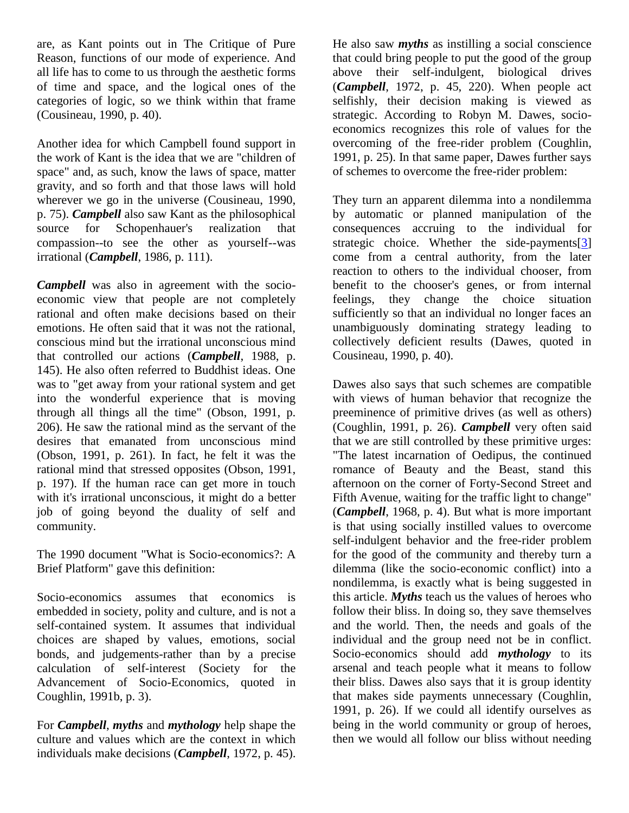are, as Kant points out in The Critique of Pure Reason, functions of our mode of experience. And all life has to come to us through the aesthetic forms of time and space, and the logical ones of the categories of logic, so we think within that frame (Cousineau, 1990, p. 40).

Another idea for which Campbell found support in the work of Kant is the idea that we are "children of space" and, as such, know the laws of space, matter gravity, and so forth and that those laws will hold wherever we go in the universe (Cousineau, 1990, p. 75). *Campbell* also saw Kant as the philosophical source for Schopenhauer's realization that compassion--to see the other as yourself--was irrational (*Campbell*, 1986, p. 111).

*Campbell* was also in agreement with the socioeconomic view that people are not completely rational and often make decisions based on their emotions. He often said that it was not the rational, conscious mind but the irrational unconscious mind that controlled our actions (*Campbell*, 1988, p. 145). He also often referred to Buddhist ideas. One was to "get away from your rational system and get into the wonderful experience that is moving through all things all the time" (Obson, 1991, p. 206). He saw the rational mind as the servant of the desires that emanated from unconscious mind (Obson, 1991, p. 261). In fact, he felt it was the rational mind that stressed opposites (Obson, 1991, p. 197). If the human race can get more in touch with it's irrational unconscious, it might do a better job of going beyond the duality of self and community.

The 1990 document "What is Socio-economics?: A Brief Platform" gave this definition:

Socio-economics assumes that economics is embedded in society, polity and culture, and is not a self-contained system. It assumes that individual choices are shaped by values, emotions, social bonds, and judgements-rather than by a precise calculation of self-interest (Society for the Advancement of Socio-Economics, quoted in Coughlin, 1991b, p. 3).

For *Campbell*, *myths* and *mythology* help shape the culture and values which are the context in which individuals make decisions (*Campbell*, 1972, p. 45).

He also saw *myths* as instilling a social conscience that could bring people to put the good of the group above their self-indulgent, biological drives (*Campbell*, 1972, p. 45, 220). When people act selfishly, their decision making is viewed as strategic. According to Robyn M. Dawes, socioeconomics recognizes this role of values for the overcoming of the free-rider problem (Coughlin, 1991, p. 25). In that same paper, Dawes further says of schemes to overcome the free-rider problem:

They turn an apparent dilemma into a nondilemma by automatic or planned manipulation of the consequences accruing to the individual for strategic choice. Whether the side-payments<sup>[\[3\]](http://web4.epnet.com.proxy.lib.csus.edu/citation.asp?tb=1&_ug=sid+DAEDABE8%2D4936%2D4F69%2DBBD7%2D3B2469BD089B%40sessionmgr4+dbs+afh+cp+1+AB74&_us=hd+False+hs+False+or+Date+fh+False+ss+SO+sm+ES+sl+%2D1+ri+KAAACBYA00088594+dstb+ES+mh+1+frn+61+D9D6&_uso=hd+False+tg%5B2+%2D+tg%5B1+%2D+tg%5B0+%2D+st%5B2+%2D+st%5B1+%2Dcampbell+st%5B0+%2Dmyth%2A+db%5B0+%2Dafh+op%5B2+%2DAnd+op%5B1+%2DAnd+op%5B0+%2D+mdb%5B0+%2Dimh+7776&cf=1&fn=61&rn=61#bib3#bib3)</sup> come from a central authority, from the later reaction to others to the individual chooser, from benefit to the chooser's genes, or from internal feelings, they change the choice situation sufficiently so that an individual no longer faces an unambiguously dominating strategy leading to collectively deficient results (Dawes, quoted in Cousineau, 1990, p. 40).

Dawes also says that such schemes are compatible with views of human behavior that recognize the preeminence of primitive drives (as well as others) (Coughlin, 1991, p. 26). *Campbell* very often said that we are still controlled by these primitive urges: "The latest incarnation of Oedipus, the continued romance of Beauty and the Beast, stand this afternoon on the corner of Forty-Second Street and Fifth Avenue, waiting for the traffic light to change" (*Campbell*, 1968, p. 4). But what is more important is that using socially instilled values to overcome self-indulgent behavior and the free-rider problem for the good of the community and thereby turn a dilemma (like the socio-economic conflict) into a nondilemma, is exactly what is being suggested in this article. *Myths* teach us the values of heroes who follow their bliss. In doing so, they save themselves and the world. Then, the needs and goals of the individual and the group need not be in conflict. Socio-economics should add *mythology* to its arsenal and teach people what it means to follow their bliss. Dawes also says that it is group identity that makes side payments unnecessary (Coughlin, 1991, p. 26). If we could all identify ourselves as being in the world community or group of heroes, then we would all follow our bliss without needing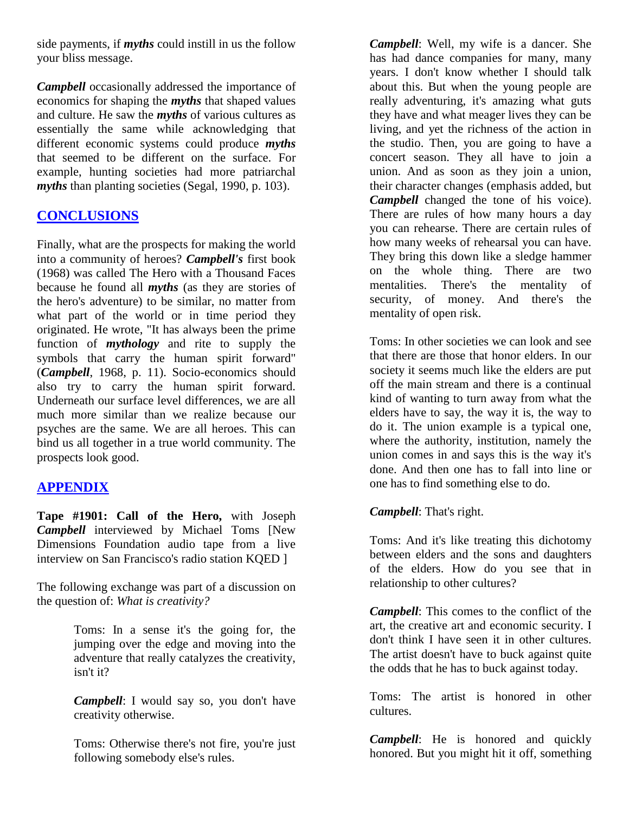side payments, if *myths* could instill in us the follow your bliss message.

*Campbell* occasionally addressed the importance of economics for shaping the *myths* that shaped values and culture. He saw the *myths* of various cultures as essentially the same while acknowledging that different economic systems could produce *myths* that seemed to be different on the surface. For example, hunting societies had more patriarchal *myths* than planting societies (Segal, 1990, p. 103).

# **[CONCLUSIONS](http://web4.epnet.com.proxy.lib.csus.edu/citation.asp?tb=1&_ug=sid+DAEDABE8%2D4936%2D4F69%2DBBD7%2D3B2469BD089B%40sessionmgr4+dbs+afh+cp+1+AB74&_us=hd+False+hs+False+or+Date+fh+False+ss+SO+sm+ES+sl+%2D1+ri+KAAACBYA00088594+dstb+ES+mh+1+frn+61+D9D6&_uso=hd+False+tg%5B2+%2D+tg%5B1+%2D+tg%5B0+%2D+st%5B2+%2D+st%5B1+%2Dcampbell+st%5B0+%2Dmyth%2A+db%5B0+%2Dafh+op%5B2+%2DAnd+op%5B1+%2DAnd+op%5B0+%2D+mdb%5B0+%2Dimh+7776&cf=1&fn=61&rn=61#toc#toc)**

Finally, what are the prospects for making the world into a community of heroes? *Campbell's* first book (1968) was called The Hero with a Thousand Faces because he found all *myths* (as they are stories of the hero's adventure) to be similar, no matter from what part of the world or in time period they originated. He wrote, "It has always been the prime function of *mythology* and rite to supply the symbols that carry the human spirit forward" (*Campbell*, 1968, p. 11). Socio-economics should also try to carry the human spirit forward. Underneath our surface level differences, we are all much more similar than we realize because our psyches are the same. We are all heroes. This can bind us all together in a true world community. The prospects look good.

# **[APPENDIX](http://web4.epnet.com.proxy.lib.csus.edu/citation.asp?tb=1&_ug=sid+DAEDABE8%2D4936%2D4F69%2DBBD7%2D3B2469BD089B%40sessionmgr4+dbs+afh+cp+1+AB74&_us=hd+False+hs+False+or+Date+fh+False+ss+SO+sm+ES+sl+%2D1+ri+KAAACBYA00088594+dstb+ES+mh+1+frn+61+D9D6&_uso=hd+False+tg%5B2+%2D+tg%5B1+%2D+tg%5B0+%2D+st%5B2+%2D+st%5B1+%2Dcampbell+st%5B0+%2Dmyth%2A+db%5B0+%2Dafh+op%5B2+%2DAnd+op%5B1+%2DAnd+op%5B0+%2D+mdb%5B0+%2Dimh+7776&cf=1&fn=61&rn=61#toc#toc)**

**Tape #1901: Call of the Hero,** with Joseph *Campbell* interviewed by Michael Toms [New Dimensions Foundation audio tape from a live interview on San Francisco's radio station KQED ]

The following exchange was part of a discussion on the question of: *What is creativity?*

> Toms: In a sense it's the going for, the jumping over the edge and moving into the adventure that really catalyzes the creativity, isn't it?

> *Campbell*: I would say so, you don't have creativity otherwise.

> Toms: Otherwise there's not fire, you're just following somebody else's rules.

*Campbell*: Well, my wife is a dancer. She has had dance companies for many, many years. I don't know whether I should talk about this. But when the young people are really adventuring, it's amazing what guts they have and what meager lives they can be living, and yet the richness of the action in the studio. Then, you are going to have a concert season. They all have to join a union. And as soon as they join a union, their character changes (emphasis added, but *Campbell* changed the tone of his voice). There are rules of how many hours a day you can rehearse. There are certain rules of how many weeks of rehearsal you can have. They bring this down like a sledge hammer on the whole thing. There are two mentalities. There's the mentality of security, of money. And there's the mentality of open risk.

Toms: In other societies we can look and see that there are those that honor elders. In our society it seems much like the elders are put off the main stream and there is a continual kind of wanting to turn away from what the elders have to say, the way it is, the way to do it. The union example is a typical one, where the authority, institution, namely the union comes in and says this is the way it's done. And then one has to fall into line or one has to find something else to do.

#### *Campbell*: That's right.

Toms: And it's like treating this dichotomy between elders and the sons and daughters of the elders. How do you see that in relationship to other cultures?

*Campbell*: This comes to the conflict of the art, the creative art and economic security. I don't think I have seen it in other cultures. The artist doesn't have to buck against quite the odds that he has to buck against today.

Toms: The artist is honored in other cultures.

*Campbell*: He is honored and quickly honored. But you might hit it off, something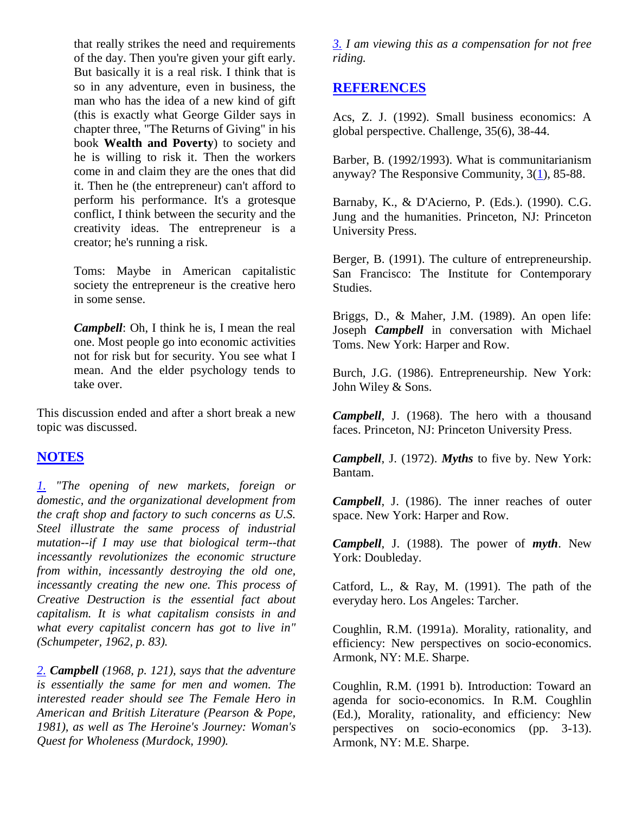that really strikes the need and requirements of the day. Then you're given your gift early. But basically it is a real risk. I think that is so in any adventure, even in business, the man who has the idea of a new kind of gift (this is exactly what George Gilder says in chapter three, "The Returns of Giving" in his book **Wealth and Poverty**) to society and he is willing to risk it. Then the workers come in and claim they are the ones that did it. Then he (the entrepreneur) can't afford to perform his performance. It's a grotesque conflict, I think between the security and the creativity ideas. The entrepreneur is a creator; he's running a risk.

Toms: Maybe in American capitalistic society the entrepreneur is the creative hero in some sense.

*Campbell*: Oh, I think he is, I mean the real one. Most people go into economic activities not for risk but for security. You see what I mean. And the elder psychology tends to take over.

This discussion ended and after a short break a new topic was discussed.

## **[NOTES](http://web4.epnet.com.proxy.lib.csus.edu/citation.asp?tb=1&_ug=sid+DAEDABE8%2D4936%2D4F69%2DBBD7%2D3B2469BD089B%40sessionmgr4+dbs+afh+cp+1+AB74&_us=hd+False+hs+False+or+Date+fh+False+ss+SO+sm+ES+sl+%2D1+ri+KAAACBYA00088594+dstb+ES+mh+1+frn+61+D9D6&_uso=hd+False+tg%5B2+%2D+tg%5B1+%2D+tg%5B0+%2D+st%5B2+%2D+st%5B1+%2Dcampbell+st%5B0+%2Dmyth%2A+db%5B0+%2Dafh+op%5B2+%2DAnd+op%5B1+%2DAnd+op%5B0+%2D+mdb%5B0+%2Dimh+7776&cf=1&fn=61&rn=61#toc#toc)**

*[1.](http://web4.epnet.com.proxy.lib.csus.edu/citation.asp?tb=1&_ug=sid+DAEDABE8%2D4936%2D4F69%2DBBD7%2D3B2469BD089B%40sessionmgr4+dbs+afh+cp+1+AB74&_us=hd+False+hs+False+or+Date+fh+False+ss+SO+sm+ES+sl+%2D1+ri+KAAACBYA00088594+dstb+ES+mh+1+frn+61+D9D6&_uso=hd+False+tg%5B2+%2D+tg%5B1+%2D+tg%5B0+%2D+st%5B2+%2D+st%5B1+%2Dcampbell+st%5B0+%2Dmyth%2A+db%5B0+%2Dafh+op%5B2+%2DAnd+op%5B1+%2DAnd+op%5B0+%2D+mdb%5B0+%2Dimh+7776&cf=1&fn=61&rn=61#bib1up#bib1up) "The opening of new markets, foreign or domestic, and the organizational development from the craft shop and factory to such concerns as U.S. Steel illustrate the same process of industrial mutation--if I may use that biological term--that incessantly revolutionizes the economic structure from within, incessantly destroying the old one, incessantly creating the new one. This process of Creative Destruction is the essential fact about capitalism. It is what capitalism consists in and what every capitalist concern has got to live in" (Schumpeter, 1962, p. 83).* 

*[2.](http://web4.epnet.com.proxy.lib.csus.edu/citation.asp?tb=1&_ug=sid+DAEDABE8%2D4936%2D4F69%2DBBD7%2D3B2469BD089B%40sessionmgr4+dbs+afh+cp+1+AB74&_us=hd+False+hs+False+or+Date+fh+False+ss+SO+sm+ES+sl+%2D1+ri+KAAACBYA00088594+dstb+ES+mh+1+frn+61+D9D6&_uso=hd+False+tg%5B2+%2D+tg%5B1+%2D+tg%5B0+%2D+st%5B2+%2D+st%5B1+%2Dcampbell+st%5B0+%2Dmyth%2A+db%5B0+%2Dafh+op%5B2+%2DAnd+op%5B1+%2DAnd+op%5B0+%2D+mdb%5B0+%2Dimh+7776&cf=1&fn=61&rn=61#bib2up#bib2up) Campbell (1968, p. 121), says that the adventure is essentially the same for men and women. The interested reader should see The Female Hero in American and British Literature (Pearson & Pope, 1981), as well as The Heroine's Journey: Woman's Quest for Wholeness (Murdock, 1990).* 

*[3.](http://web4.epnet.com.proxy.lib.csus.edu/citation.asp?tb=1&_ug=sid+DAEDABE8%2D4936%2D4F69%2DBBD7%2D3B2469BD089B%40sessionmgr4+dbs+afh+cp+1+AB74&_us=hd+False+hs+False+or+Date+fh+False+ss+SO+sm+ES+sl+%2D1+ri+KAAACBYA00088594+dstb+ES+mh+1+frn+61+D9D6&_uso=hd+False+tg%5B2+%2D+tg%5B1+%2D+tg%5B0+%2D+st%5B2+%2D+st%5B1+%2Dcampbell+st%5B0+%2Dmyth%2A+db%5B0+%2Dafh+op%5B2+%2DAnd+op%5B1+%2DAnd+op%5B0+%2D+mdb%5B0+%2Dimh+7776&cf=1&fn=61&rn=61#bib3up#bib3up) I am viewing this as a compensation for not free riding.* 

## **[REFERENCES](http://web4.epnet.com.proxy.lib.csus.edu/citation.asp?tb=1&_ug=sid+DAEDABE8%2D4936%2D4F69%2DBBD7%2D3B2469BD089B%40sessionmgr4+dbs+afh+cp+1+AB74&_us=hd+False+hs+False+or+Date+fh+False+ss+SO+sm+ES+sl+%2D1+ri+KAAACBYA00088594+dstb+ES+mh+1+frn+61+D9D6&_uso=hd+False+tg%5B2+%2D+tg%5B1+%2D+tg%5B0+%2D+st%5B2+%2D+st%5B1+%2Dcampbell+st%5B0+%2Dmyth%2A+db%5B0+%2Dafh+op%5B2+%2DAnd+op%5B1+%2DAnd+op%5B0+%2D+mdb%5B0+%2Dimh+7776&cf=1&fn=61&rn=61#toc#toc)**

Acs, Z. J. (1992). Small business economics: A global perspective. Challenge, 35(6), 38-44.

Barber, B. (1992/1993). What is communitarianism anyway? The Responsive Community,  $3(1)$  $3(1)$ , 85-88.

Barnaby, K., & D'Acierno, P. (Eds.). (1990). C.G. Jung and the humanities. Princeton, NJ: Princeton University Press.

Berger, B. (1991). The culture of entrepreneurship. San Francisco: The Institute for Contemporary Studies.

Briggs, D., & Maher, J.M. (1989). An open life: Joseph *Campbell* in conversation with Michael Toms. New York: Harper and Row.

Burch, J.G. (1986). Entrepreneurship. New York: John Wiley & Sons.

*Campbell*, J. (1968). The hero with a thousand faces. Princeton, NJ: Princeton University Press.

*Campbell*, J. (1972). *Myths* to five by. New York: Bantam.

*Campbell*, J. (1986). The inner reaches of outer space. New York: Harper and Row.

*Campbell*, J. (1988). The power of *myth*. New York: Doubleday.

Catford, L., & Ray, M. (1991). The path of the everyday hero. Los Angeles: Tarcher.

Coughlin, R.M. (1991a). Morality, rationality, and efficiency: New perspectives on socio-economics. Armonk, NY: M.E. Sharpe.

Coughlin, R.M. (1991 b). Introduction: Toward an agenda for socio-economics. In R.M. Coughlin (Ed.), Morality, rationality, and efficiency: New perspectives on socio-economics (pp. 3-13). Armonk, NY: M.E. Sharpe.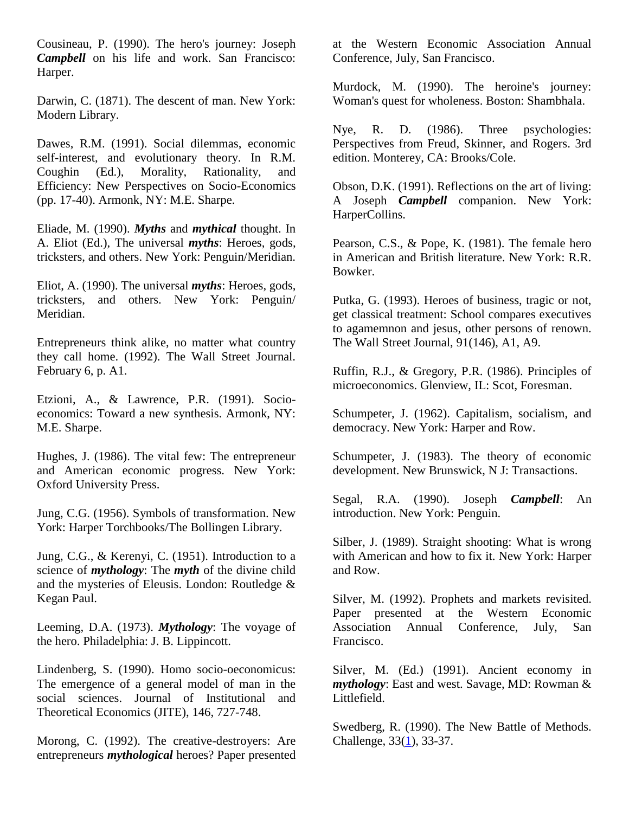Cousineau, P. (1990). The hero's journey: Joseph *Campbell* on his life and work. San Francisco: Harper.

Darwin, C. (1871). The descent of man. New York: Modern Library.

Dawes, R.M. (1991). Social dilemmas, economic self-interest, and evolutionary theory. In R.M. Coughin (Ed.), Morality, Rationality, and Efficiency: New Perspectives on Socio-Economics (pp. 17-40). Armonk, NY: M.E. Sharpe.

Eliade, M. (1990). *Myths* and *mythical* thought. In A. Eliot (Ed.), The universal *myths*: Heroes, gods, tricksters, and others. New York: Penguin/Meridian.

Eliot, A. (1990). The universal *myths*: Heroes, gods, tricksters, and others. New York: Penguin/ Meridian.

Entrepreneurs think alike, no matter what country they call home. (1992). The Wall Street Journal. February 6, p. A1.

Etzioni, A., & Lawrence, P.R. (1991). Socioeconomics: Toward a new synthesis. Armonk, NY: M.E. Sharpe.

Hughes, J. (1986). The vital few: The entrepreneur and American economic progress. New York: Oxford University Press.

Jung, C.G. (1956). Symbols of transformation. New York: Harper Torchbooks/The Bollingen Library.

Jung, C.G., & Kerenyi, C. (1951). Introduction to a science of *mythology*: The *myth* of the divine child and the mysteries of Eleusis. London: Routledge & Kegan Paul.

Leeming, D.A. (1973). *Mythology*: The voyage of the hero. Philadelphia: J. B. Lippincott.

Lindenberg, S. (1990). Homo socio-oeconomicus: The emergence of a general model of man in the social sciences. Journal of Institutional and Theoretical Economics (JITE), 146, 727-748.

Morong, C. (1992). The creative-destroyers: Are entrepreneurs *mythological* heroes? Paper presented at the Western Economic Association Annual Conference, July, San Francisco.

Murdock, M. (1990). The heroine's journey: Woman's quest for wholeness. Boston: Shambhala.

Nye, R. D. (1986). Three psychologies: Perspectives from Freud, Skinner, and Rogers. 3rd edition. Monterey, CA: Brooks/Cole.

Obson, D.K. (1991). Reflections on the art of living: A Joseph *Campbell* companion. New York: HarperCollins.

Pearson, C.S., & Pope, K. (1981). The female hero in American and British literature. New York: R.R. Bowker.

Putka, G. (1993). Heroes of business, tragic or not, get classical treatment: School compares executives to agamemnon and jesus, other persons of renown. The Wall Street Journal, 91(146), A1, A9.

Ruffin, R.J., & Gregory, P.R. (1986). Principles of microeconomics. Glenview, IL: Scot, Foresman.

Schumpeter, J. (1962). Capitalism, socialism, and democracy. New York: Harper and Row.

Schumpeter, J. (1983). The theory of economic development. New Brunswick, N J: Transactions.

Segal, R.A. (1990). Joseph *Campbell*: An introduction. New York: Penguin.

Silber, J. (1989). Straight shooting: What is wrong with American and how to fix it. New York: Harper and Row.

Silver, M. (1992). Prophets and markets revisited. Paper presented at the Western Economic Association Annual Conference, July, San Francisco.

Silver, M. (Ed.) (1991). Ancient economy in *mythology*: East and west. Savage, MD: Rowman & Littlefield.

Swedberg, R. (1990). The New Battle of Methods. Challenge, 33[\(1\)](http://web4.epnet.com.proxy.lib.csus.edu/citation.asp?tb=1&_ug=sid+DAEDABE8%2D4936%2D4F69%2DBBD7%2D3B2469BD089B%40sessionmgr4+dbs+afh+cp+1+AB74&_us=hd+False+hs+False+or+Date+fh+False+ss+SO+sm+ES+sl+%2D1+ri+KAAACBYA00088594+dstb+ES+mh+1+frn+61+D9D6&_uso=hd+False+tg%5B2+%2D+tg%5B1+%2D+tg%5B0+%2D+st%5B2+%2D+st%5B1+%2Dcampbell+st%5B0+%2Dmyth%2A+db%5B0+%2Dafh+op%5B2+%2DAnd+op%5B1+%2DAnd+op%5B0+%2D+mdb%5B0+%2Dimh+7776&cf=1&fn=61&rn=61#bib1#bib1), 33-37.